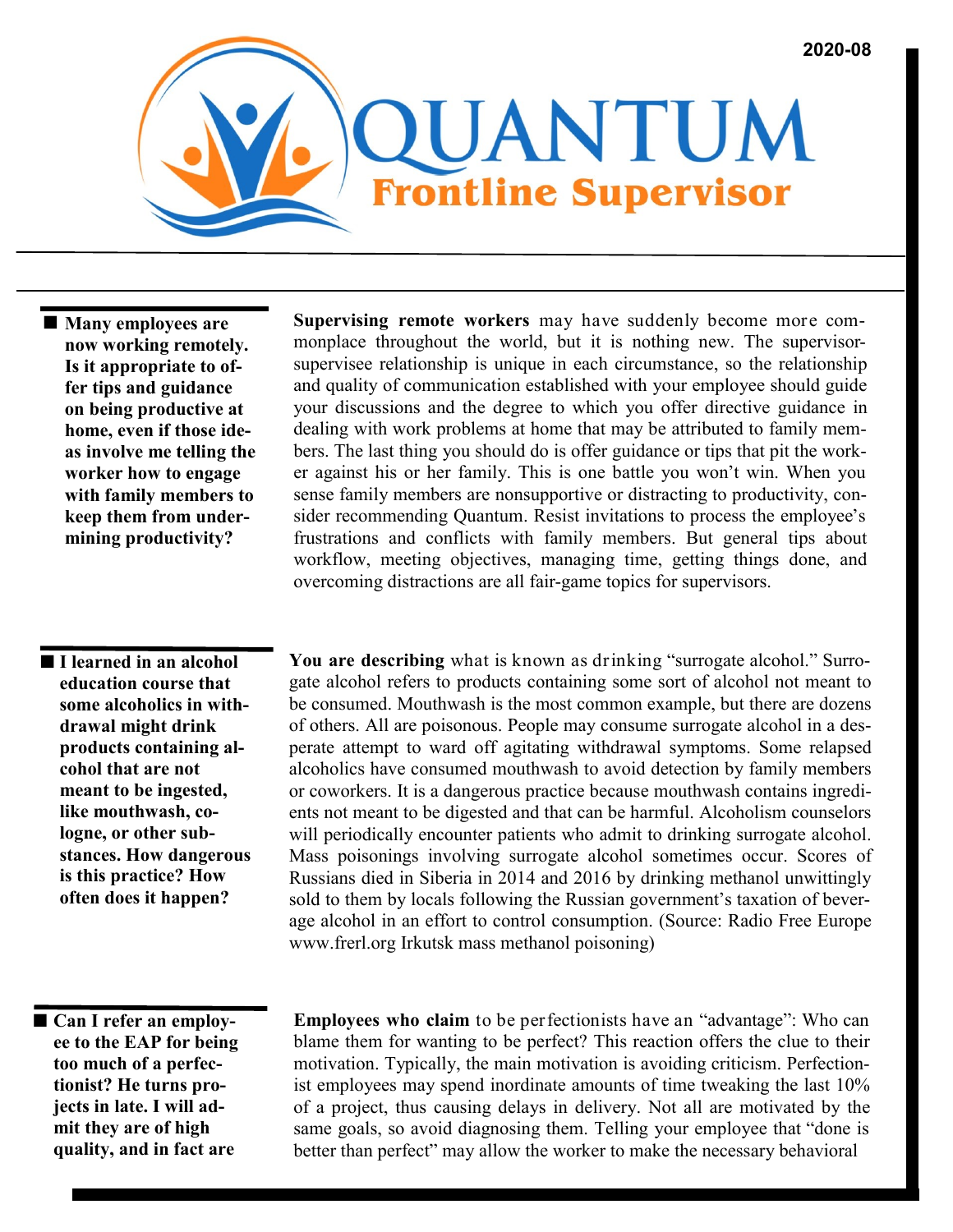

 **Many employees are now working remotely. Is it appropriate to offer tips and guidance on being productive at home, even if those ideas involve me telling the worker how to engage with family members to keep them from undermining productivity?**

 **I learned in an alcohol education course that some alcoholics in withdrawal might drink products containing alcohol that are not meant to be ingested, like mouthwash, cologne, or other substances. How dangerous is this practice? How often does it happen?**

**Supervising remote workers** may have suddenly become more commonplace throughout the world, but it is nothing new. The supervisorsupervisee relationship is unique in each circumstance, so the relationship and quality of communication established with your employee should guide your discussions and the degree to which you offer directive guidance in dealing with work problems at home that may be attributed to family members. The last thing you should do is offer guidance or tips that pit the worker against his or her family. This is one battle you won't win. When you sense family members are nonsupportive or distracting to productivity, consider recommending Quantum. Resist invitations to process the employee's frustrations and conflicts with family members. But general tips about workflow, meeting objectives, managing time, getting things done, and overcoming distractions are all fair-game topics for supervisors.

**You are describing** what is known as drinking "surrogate alcohol." Surrogate alcohol refers to products containing some sort of alcohol not meant to be consumed. Mouthwash is the most common example, but there are dozens of others. All are poisonous. People may consume surrogate alcohol in a desperate attempt to ward off agitating withdrawal symptoms. Some relapsed alcoholics have consumed mouthwash to avoid detection by family members or coworkers. It is a dangerous practice because mouthwash contains ingredients not meant to be digested and that can be harmful. Alcoholism counselors will periodically encounter patients who admit to drinking surrogate alcohol. Mass poisonings involving surrogate alcohol sometimes occur. Scores of Russians died in Siberia in 2014 and 2016 by drinking methanol unwittingly sold to them by locals following the Russian government's taxation of beverage alcohol in an effort to control consumption. (Source: Radio Free Europe www.frerl.org Irkutsk mass methanol poisoning)

 **Can I refer an employee to the EAP for being too much of a perfectionist? He turns projects in late. I will admit they are of high quality, and in fact are** 

**Employees who claim** to be perfectionists have an "advantage": Who can blame them for wanting to be perfect? This reaction offers the clue to their motivation. Typically, the main motivation is avoiding criticism. Perfectionist employees may spend inordinate amounts of time tweaking the last 10% of a project, thus causing delays in delivery. Not all are motivated by the same goals, so avoid diagnosing them. Telling your employee that "done is better than perfect" may allow the worker to make the necessary behavioral